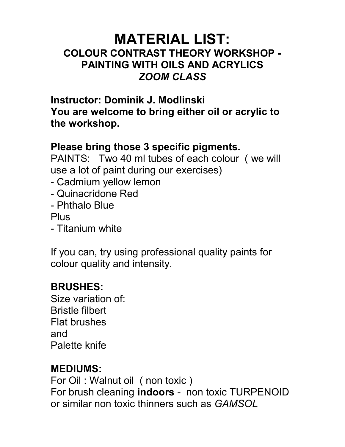## MATERIAL LIST: COLOUR CONTRAST THEORY WORKSHOP - PAINTING WITH OILS AND ACRYLICS ZOOM CLASS

Instructor: Dominik J. Modlinski You are welcome to bring either oil or acrylic to the workshop.

#### Please bring those 3 specific pigments.

PAINTS: Two 40 ml tubes of each colour ( we will use a lot of paint during our exercises)

- Cadmium yellow lemon
- Quinacridone Red
- Phthalo Blue

Plus

- Titanium white

If you can, try using professional quality paints for colour quality and intensity.

# BRUSHES:

Size variation of: Bristle filbert Flat brushes and Palette knife

## MEDIUMS:

For Oil : Walnut oil ( non toxic ) For brush cleaning indoors - non toxic TURPENOID or similar non toxic thinners such as GAMSOL